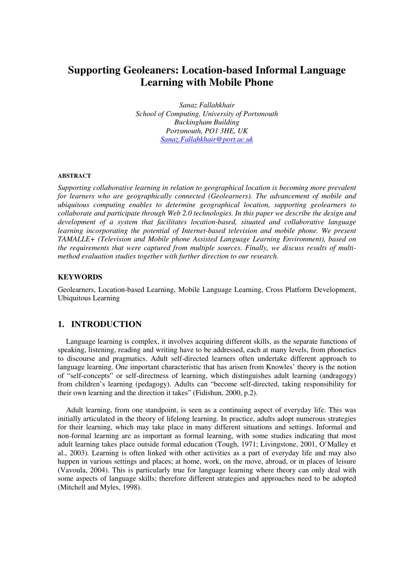# **Supporting Geoleaners: Location-based Informal Language Learning with Mobile Phone**

*Sanaz Fallahkhair School of Computing, University of Portsmouth Buckingham Building Portsmouth, PO1 3HE, UK Sanaz.Fallahkhair@port.ac.uk* 

#### **ABSTRACT**

*Supporting collaborative learning in relation to geographical location is becoming more prevalent for learners who are geographically connected (Geolearners). The advancement of mobile and ubiquitous computing enables to determine geographical location, supporting geolearners to collaborate and participate through Web 2.0 technologies. In this paper we describe the design and development of a system that facilitates location-based, situated and collaborative language learning incorporating the potential of Internet-based television and mobile phone. We present TAMALLE+ (Television and Mobile phone Assisted Language Learning Environment), based on the requirements that were captured from multiple sources. Finally, we discuss results of multimethod evaluation studies together with further direction to our research.* 

#### **KEYWORDS**

Geolearners, Location-based Learning, Mobile Language Learning, Cross Platform Development, Ubiquitous Learning

# **1. INTRODUCTION**

Language learning is complex, it involves acquiring different skills, as the separate functions of speaking, listening, reading and writing have to be addressed, each at many levels, from phonetics to discourse and pragmatics. Adult self-directed learners often undertake different approach to language learning. One important characteristic that has arisen from Knowles' theory is the notion of "self-concepts" or self-directness of learning, which distinguishes adult learning (andragogy) from children's learning (pedagogy). Adults can "become self-directed, taking responsibility for their own learning and the direction it takes" (Fidishun, 2000, p.2).

Adult learning, from one standpoint, is seen as a continuing aspect of everyday life. This was initially articulated in the theory of lifelong learning. In practice, adults adopt numerous strategies for their learning, which may take place in many different situations and settings. Informal and non-formal learning are as important as formal learning, with some studies indicating that most adult learning takes place outside formal education (Tough, 1971; Livingstone, 2001, O'Malley et al., 2003). Learning is often linked with other activities as a part of everyday life and may also happen in various settings and places; at home, work, on the move, abroad, or in places of leisure (Vavoula, 2004). This is particularly true for language learning where theory can only deal with some aspects of language skills; therefore different strategies and approaches need to be adopted (Mitchell and Myles, 1998).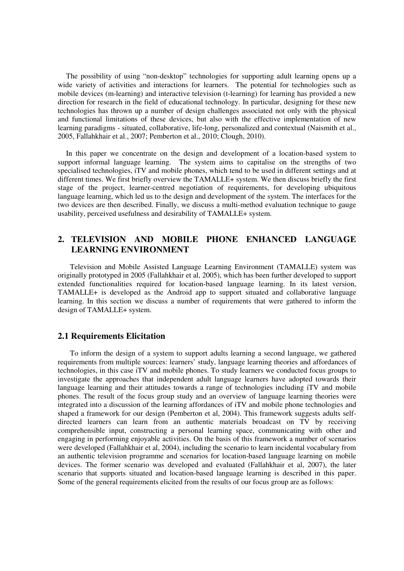The possibility of using "non-desktop" technologies for supporting adult learning opens up a wide variety of activities and interactions for learners. The potential for technologies such as mobile devices (m-learning) and interactive television (t-learning) for learning has provided a new direction for research in the field of educational technology. In particular, designing for these new technologies has thrown up a number of design challenges associated not only with the physical and functional limitations of these devices, but also with the effective implementation of new learning paradigms - situated, collaborative, life-long, personalized and contextual (Naismith et al., 2005, Fallahkhair et al., 2007; Pemberton et al., 2010; Clough, 2010).

In this paper we concentrate on the design and development of a location-based system to support informal language learning. The system aims to capitalise on the strengths of two specialised technologies, iTV and mobile phones, which tend to be used in different settings and at different times. We first briefly overview the TAMALLE+ system. We then discuss briefly the first stage of the project, learner-centred negotiation of requirements, for developing ubiquitous language learning, which led us to the design and development of the system. The interfaces for the two devices are then described. Finally, we discuss a multi-method evaluation technique to gauge usability, perceived usefulness and desirability of TAMALLE+ system.

# **2. TELEVISION AND MOBILE PHONE ENHANCED LANGUAGE LEARNING ENVIRONMENT**

Television and Mobile Assisted Language Learning Environment (TAMALLE) system was originally prototyped in 2005 (Fallahkhair et al, 2005), which has been further developed to support extended functionalities required for location-based language learning. In its latest version, TAMALLE+ is developed as the Android app to support situated and collaborative language learning. In this section we discuss a number of requirements that were gathered to inform the design of TAMALLE+ system.

#### **2.1 Requirements Elicitation**

To inform the design of a system to support adults learning a second language, we gathered requirements from multiple sources: learners' study, language learning theories and affordances of technologies, in this case iTV and mobile phones. To study learners we conducted focus groups to investigate the approaches that independent adult language learners have adopted towards their language learning and their attitudes towards a range of technologies including iTV and mobile phones. The result of the focus group study and an overview of language learning theories were integrated into a discussion of the learning affordances of iTV and mobile phone technologies and shaped a framework for our design (Pemberton et al, 2004). This framework suggests adults selfdirected learners can learn from an authentic materials broadcast on TV by receiving comprehensible input, constructing a personal learning space, communicating with other and engaging in performing enjoyable activities. On the basis of this framework a number of scenarios were developed (Fallahkhair et al, 2004), including the scenario to learn incidental vocabulary from an authentic television programme and scenarios for location-based language learning on mobile devices. The former scenario was developed and evaluated (Fallahkhair et al, 2007), the later scenario that supports situated and location-based language learning is described in this paper. Some of the general requirements elicited from the results of our focus group are as follows: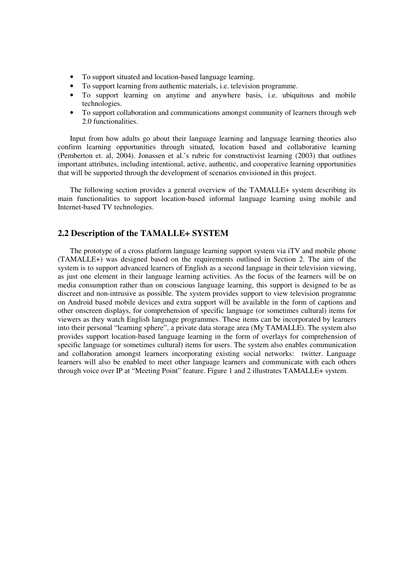- To support situated and location-based language learning.
- To support learning from authentic materials, i.e. television programme.
- To support learning on anytime and anywhere basis, i.e. ubiquitous and mobile technologies.
- To support collaboration and communications amongst community of learners through web 2.0 functionalities.

Input from how adults go about their language learning and language learning theories also confirm learning opportunities through situated, location based and collaborative learning (Pemberton et. al, 2004). Jonassen et al.'s rubric for constructivist learning (2003) that outlines important attributes, including intentional, active, authentic, and cooperative learning opportunities that will be supported through the development of scenarios envisioned in this project.

The following section provides a general overview of the TAMALLE+ system describing its main functionalities to support location-based informal language learning using mobile and Internet-based TV technologies.

# **2.2 Description of the TAMALLE+ SYSTEM**

The prototype of a cross platform language learning support system via iTV and mobile phone (TAMALLE+) was designed based on the requirements outlined in Section 2. The aim of the system is to support advanced learners of English as a second language in their television viewing, as just one element in their language learning activities. As the focus of the learners will be on media consumption rather than on conscious language learning, this support is designed to be as discreet and non-intrusive as possible. The system provides support to view television programme on Android based mobile devices and extra support will be available in the form of captions and other onscreen displays, for comprehension of specific language (or sometimes cultural) items for viewers as they watch English language programmes. These items can be incorporated by learners into their personal "learning sphere", a private data storage area (My TAMALLE). The system also provides support location-based language learning in the form of overlays for comprehension of specific language (or sometimes cultural) items for users. The system also enables communication and collaboration amongst learners incorporating existing social networks: twitter. Language learners will also be enabled to meet other language learners and communicate with each others through voice over IP at "Meeting Point" feature. Figure 1 and 2 illustrates TAMALLE+ system.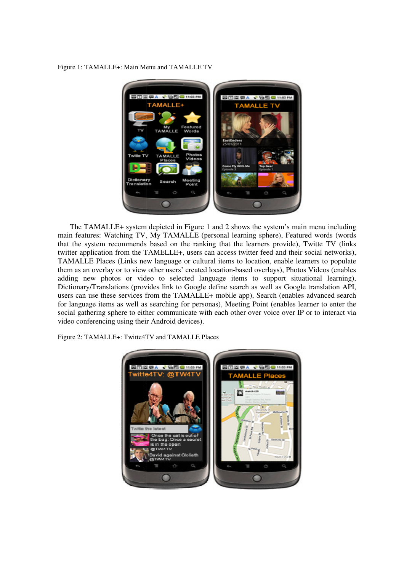Figure 1: TAMALLE+: Main Menu and TAMALLE TV



The TAMALLE+ system depicted in Figure 1 and 2 shows the system's main menu including main features: Watching TV, My TAMALLE (personal learning sphere), Featured words (words that the system recommends based on the ranking that the learners provide), Twitte TV (links twitter application from the TAMELLE+, users can access twitter feed and their social networks), TAMALLE Places (Links new language or cultural items to location, enable learners to populate them as an overlay or to view other users' c created location-based overlays), Photos Videos (enables them as an overlay or to view other users' created location-based overlays), Photos Videos (enables adding new photos or video to selected language items to support situational learning), Dictionary/Translations (provides link to Google define search as well as Google translation API, users can use these services from the TAMALLE+ mobile app), Search (enables advanced search for language items as well as searching for personas), Meeting Point (enables learner to enter the social gathering sphere to either communicate with each other over voice over IP or to interact via video conferencing using their Android devices).

Figure 2: TAMALLE+: Twitte4TV and TAMALLE Places

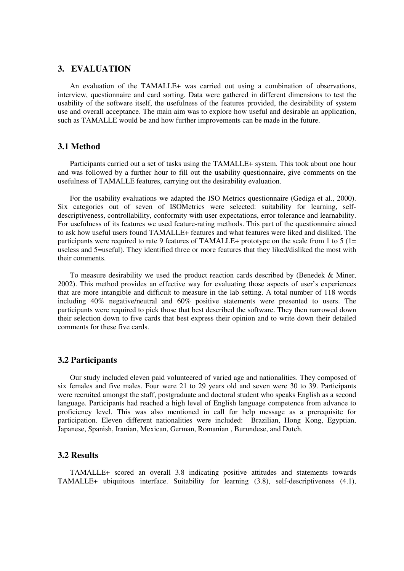# **3. EVALUATION**

An evaluation of the TAMALLE+ was carried out using a combination of observations, interview, questionnaire and card sorting. Data were gathered in different dimensions to test the usability of the software itself, the usefulness of the features provided, the desirability of system use and overall acceptance. The main aim was to explore how useful and desirable an application, such as TAMALLE would be and how further improvements can be made in the future.

# **3.1 Method**

Participants carried out a set of tasks using the TAMALLE+ system. This took about one hour and was followed by a further hour to fill out the usability questionnaire, give comments on the usefulness of TAMALLE features, carrying out the desirability evaluation.

For the usability evaluations we adapted the ISO Metrics questionnaire (Gediga et al., 2000). Six categories out of seven of ISOMetrics were selected: suitability for learning, selfdescriptiveness, controllability, conformity with user expectations, error tolerance and learnability. For usefulness of its features we used feature-rating methods. This part of the questionnaire aimed to ask how useful users found TAMALLE+ features and what features were liked and disliked. The participants were required to rate 9 features of TAMALLE+ prototype on the scale from 1 to 5 (1= useless and 5=useful). They identified three or more features that they liked/disliked the most with their comments.

To measure desirability we used the product reaction cards described by (Benedek & Miner, 2002). This method provides an effective way for evaluating those aspects of user's experiences that are more intangible and difficult to measure in the lab setting. A total number of 118 words including 40% negative/neutral and 60% positive statements were presented to users. The participants were required to pick those that best described the software. They then narrowed down their selection down to five cards that best express their opinion and to write down their detailed comments for these five cards.

#### **3.2 Participants**

Our study included eleven paid volunteered of varied age and nationalities. They composed of six females and five males. Four were 21 to 29 years old and seven were 30 to 39. Participants were recruited amongst the staff, postgraduate and doctoral student who speaks English as a second language. Participants had reached a high level of English language competence from advance to proficiency level. This was also mentioned in call for help message as a prerequisite for participation. Eleven different nationalities were included: Brazilian, Hong Kong, Egyptian, Japanese, Spanish, Iranian, Mexican, German, Romanian , Burundese, and Dutch.

#### **3.2 Results**

TAMALLE+ scored an overall 3.8 indicating positive attitudes and statements towards TAMALLE+ ubiquitous interface. Suitability for learning (3.8), self-descriptiveness (4.1),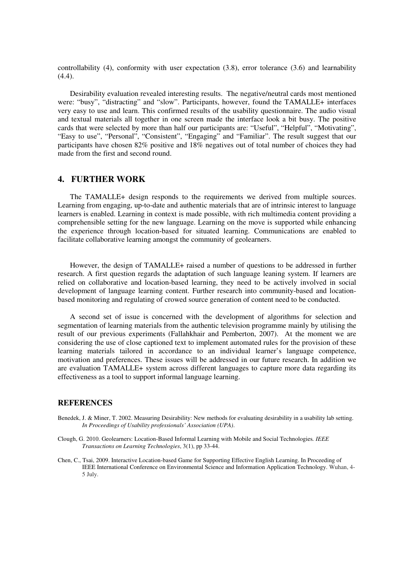controllability (4), conformity with user expectation (3.8), error tolerance (3.6) and learnability (4.4).

Desirability evaluation revealed interesting results. The negative/neutral cards most mentioned were: "busy", "distracting" and "slow". Participants, however, found the TAMALLE+ interfaces very easy to use and learn. This confirmed results of the usability questionnaire. The audio visual and textual materials all together in one screen made the interface look a bit busy. The positive cards that were selected by more than half our participants are: "Useful", "Helpful", "Motivating", "Easy to use", "Personal", "Consistent", "Engaging" and "Familiar". The result suggest that our participants have chosen 82% positive and 18% negatives out of total number of choices they had made from the first and second round.

## **4. FURTHER WORK**

The TAMALLE+ design responds to the requirements we derived from multiple sources. Learning from engaging, up-to-date and authentic materials that are of intrinsic interest to language learners is enabled. Learning in context is made possible, with rich multimedia content providing a comprehensible setting for the new language. Learning on the move is supported while enhancing the experience through location-based for situated learning. Communications are enabled to facilitate collaborative learning amongst the community of geolearners.

However, the design of TAMALLE+ raised a number of questions to be addressed in further research. A first question regards the adaptation of such language leaning system. If learners are relied on collaborative and location-based learning, they need to be actively involved in social development of language learning content. Further research into community-based and locationbased monitoring and regulating of crowed source generation of content need to be conducted.

A second set of issue is concerned with the development of algorithms for selection and segmentation of learning materials from the authentic television programme mainly by utilising the result of our previous experiments (Fallahkhair and Pemberton, 2007). At the moment we are considering the use of close captioned text to implement automated rules for the provision of these learning materials tailored in accordance to an individual learner's language competence, motivation and preferences. These issues will be addressed in our future research. In addition we are evaluation TAMALLE+ system across different languages to capture more data regarding its effectiveness as a tool to support informal language learning.

#### **REFERENCES**

- Benedek, J. & Miner, T. 2002. Measuring Desirability: New methods for evaluating desirability in a usability lab setting. *In Proceedings of Usability professionals' Association (UPA)*.
- Clough, G. 2010. Geolearners: Location-Based Informal Learning with Mobile and Social Technologies*. IEEE Transactions on Learning Technologies*, 3(1), pp 33-44.
- Chen, C., Tsai, 2009. Interactive Location-based Game for Supporting Effective English Learning. In Proceeding of IEEE International Conference on Environmental Science and Information Application Technology. Wuhan, 4- 5 July.